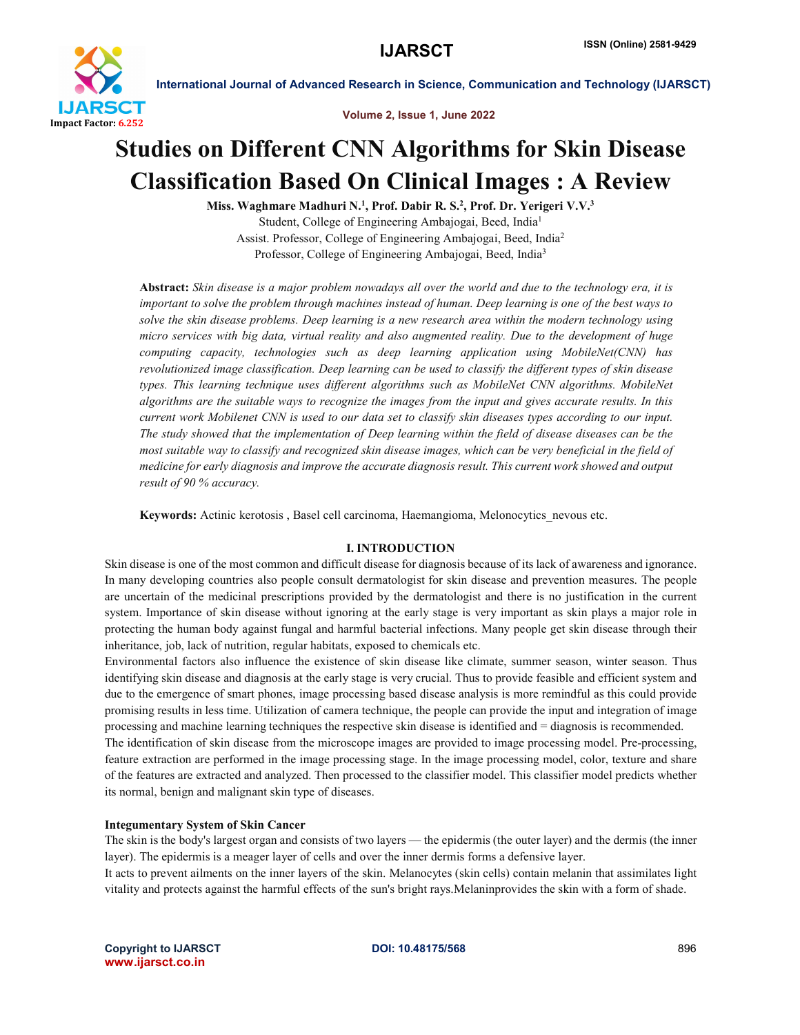

Volume 2, Issue 1, June 2022

# Studies on Different CNN Algorithms for Skin Disease Classification Based On Clinical Images : A Review

Miss. Waghmare Madhuri N.<sup>1</sup>, Prof. Dabir R. S.<sup>2</sup>, Prof. Dr. Yerigeri V.V.<sup>3</sup> Student, College of Engineering Ambajogai, Beed, India1 Assist. Professor, College of Engineering Ambajogai, Beed, India2 Professor, College of Engineering Ambajogai, Beed, India<sup>3</sup>

Abstract: *Skin disease is a major problem nowadays all over the world and due to the technology era, it is important to solve the problem through machines instead of human. Deep learning is one of the best ways to solve the skin disease problems. Deep learning is a new research area within the modern technology using micro services with big data, virtual reality and also augmented reality. Due to the development of huge computing capacity, technologies such as deep learning application using MobileNet(CNN) has revolutionized image classification. Deep learning can be used to classify the different types of skin disease types. This learning technique uses different algorithms such as MobileNet CNN algorithms. MobileNet algorithms are the suitable ways to recognize the images from the input and gives accurate results. In this current work Mobilenet CNN is used to our data set to classify skin diseases types according to our input. The study showed that the implementation of Deep learning within the field of disease diseases can be the most suitable way to classify and recognized skin disease images, which can be very beneficial in the field of medicine for early diagnosis and improve the accurate diagnosis result. This current work showed and output result of 90 % accuracy.*

Keywords: Actinic kerotosis , Basel cell carcinoma, Haemangioma, Melonocytics\_nevous etc.

### I. INTRODUCTION

Skin disease is one of the most common and difficult disease for diagnosis because of its lack of awareness and ignorance. In many developing countries also people consult dermatologist for skin disease and prevention measures. The people are uncertain of the medicinal prescriptions provided by the dermatologist and there is no justification in the current system. Importance of skin disease without ignoring at the early stage is very important as skin plays a major role in protecting the human body against fungal and harmful bacterial infections. Many people get skin disease through their inheritance, job, lack of nutrition, regular habitats, exposed to chemicals etc.

Environmental factors also influence the existence of skin disease like climate, summer season, winter season. Thus identifying skin disease and diagnosis at the early stage is very crucial. Thus to provide feasible and efficient system and due to the emergence of smart phones, image processing based disease analysis is more remindful as this could provide promising results in less time. Utilization of camera technique, the people can provide the input and integration of image processing and machine learning techniques the respective skin disease is identified and = diagnosis is recommended. The identification of skin disease from the microscope images are provided to image processing model. Pre-processing, feature extraction are performed in the image processing stage. In the image processing model, color, texture and share of the features are extracted and analyzed. Then processed to the classifier model. This classifier model predicts whether its normal, benign and malignant skin type of diseases.

### Integumentary System of Skin Cancer

The skin is the body's largest organ and consists of two layers — the epidermis (the outer layer) and the dermis (the inner layer). The epidermis is a meager layer of cells and over the inner dermis forms a defensive layer.

It acts to prevent ailments on the inner layers of the skin. Melanocytes (skin cells) contain melanin that assimilates light vitality and protects against the harmful effects of the sun's bright rays.Melaninprovides the skin with a form of shade.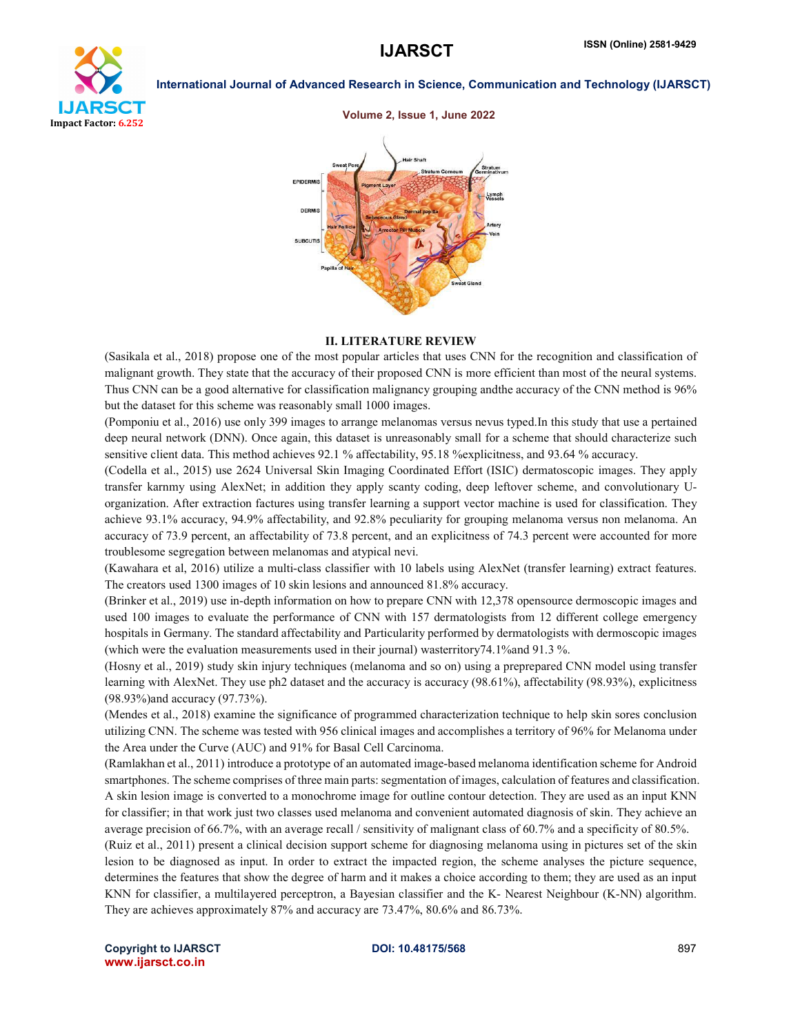



# Volume 2, Issue 1, June 2022

#### II. LITERATURE REVIEW

(Sasikala et al., 2018) propose one of the most popular articles that uses CNN for the recognition and classification of malignant growth. They state that the accuracy of their proposed CNN is more efficient than most of the neural systems. Thus CNN can be a good alternative for classification malignancy grouping andthe accuracy of the CNN method is 96% but the dataset for this scheme was reasonably small 1000 images.

(Pomponiu et al., 2016) use only 399 images to arrange melanomas versus nevus typed.In this study that use a pertained deep neural network (DNN). Once again, this dataset is unreasonably small for a scheme that should characterize such sensitive client data. This method achieves 92.1 % affectability, 95.18 %explicitness, and 93.64 % accuracy.

(Codella et al., 2015) use 2624 Universal Skin Imaging Coordinated Effort (ISIC) dermatoscopic images. They apply transfer karnmy using AlexNet; in addition they apply scanty coding, deep leftover scheme, and convolutionary Uorganization. After extraction factures using transfer learning a support vector machine is used for classification. They achieve 93.1% accuracy, 94.9% affectability, and 92.8% peculiarity for grouping melanoma versus non melanoma. An accuracy of 73.9 percent, an affectability of 73.8 percent, and an explicitness of 74.3 percent were accounted for more troublesome segregation between melanomas and atypical nevi.

(Kawahara et al, 2016) utilize a multi-class classifier with 10 labels using AlexNet (transfer learning) extract features. The creators used 1300 images of 10 skin lesions and announced 81.8% accuracy.

(Brinker et al., 2019) use in-depth information on how to prepare CNN with 12,378 opensource dermoscopic images and used 100 images to evaluate the performance of CNN with 157 dermatologists from 12 different college emergency hospitals in Germany. The standard affectability and Particularity performed by dermatologists with dermoscopic images (which were the evaluation measurements used in their journal) wasterritory74.1%and 91.3 %.

(Hosny et al., 2019) study skin injury techniques (melanoma and so on) using a preprepared CNN model using transfer learning with AlexNet. They use ph2 dataset and the accuracy is accuracy (98.61%), affectability (98.93%), explicitness (98.93%)and accuracy (97.73%).

(Mendes et al., 2018) examine the significance of programmed characterization technique to help skin sores conclusion utilizing CNN. The scheme was tested with 956 clinical images and accomplishes a territory of 96% for Melanoma under the Area under the Curve (AUC) and 91% for Basal Cell Carcinoma.

(Ramlakhan et al., 2011) introduce a prototype of an automated image-based melanoma identification scheme for Android smartphones. The scheme comprises of three main parts: segmentation of images, calculation of features and classification. A skin lesion image is converted to a monochrome image for outline contour detection. They are used as an input KNN for classifier; in that work just two classes used melanoma and convenient automated diagnosis of skin. They achieve an average precision of 66.7%, with an average recall / sensitivity of malignant class of 60.7% and a specificity of 80.5%.

(Ruiz et al., 2011) present a clinical decision support scheme for diagnosing melanoma using in pictures set of the skin lesion to be diagnosed as input. In order to extract the impacted region, the scheme analyses the picture sequence, determines the features that show the degree of harm and it makes a choice according to them; they are used as an input KNN for classifier, a multilayered perceptron, a Bayesian classifier and the K- Nearest Neighbour (K-NN) algorithm. They are achieves approximately 87% and accuracy are 73.47%, 80.6% and 86.73%.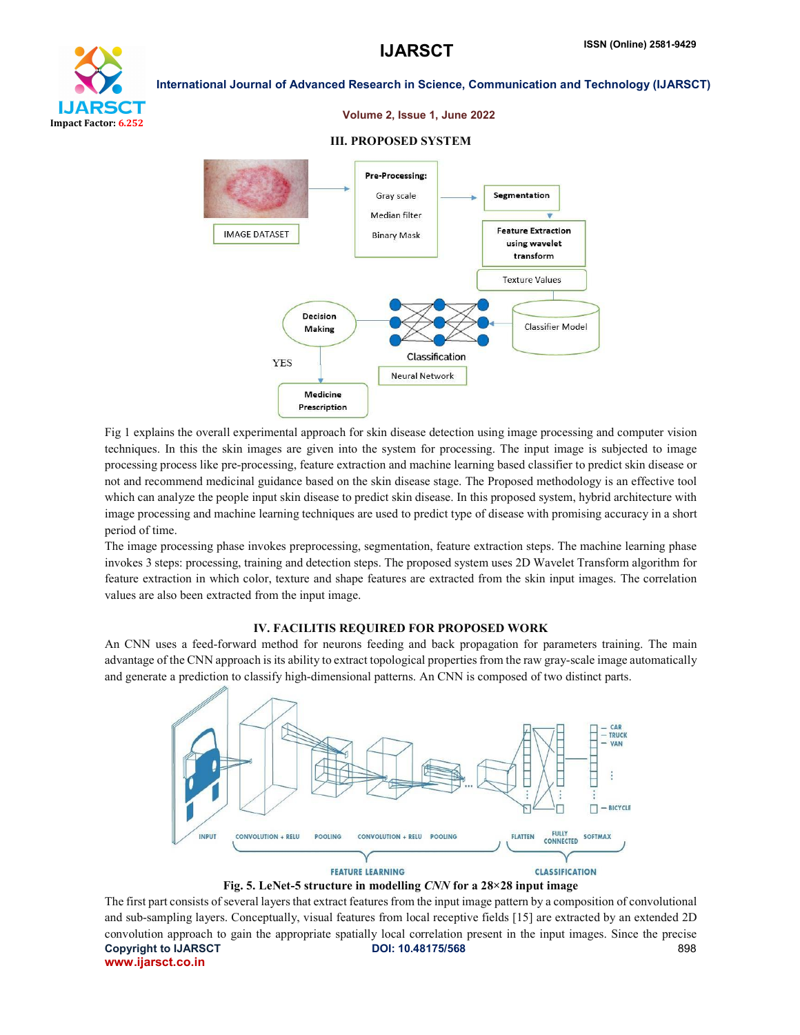

### Volume 2, Issue 1, June 2022

#### III. PROPOSED SYSTEM



Fig 1 explains the overall experimental approach for skin disease detection using image processing and computer vision techniques. In this the skin images are given into the system for processing. The input image is subjected to image processing process like pre-processing, feature extraction and machine learning based classifier to predict skin disease or not and recommend medicinal guidance based on the skin disease stage. The Proposed methodology is an effective tool which can analyze the people input skin disease to predict skin disease. In this proposed system, hybrid architecture with image processing and machine learning techniques are used to predict type of disease with promising accuracy in a short period of time.

The image processing phase invokes preprocessing, segmentation, feature extraction steps. The machine learning phase invokes 3 steps: processing, training and detection steps. The proposed system uses 2D Wavelet Transform algorithm for feature extraction in which color, texture and shape features are extracted from the skin input images. The correlation values are also been extracted from the input image.

#### IV. FACILITIS REQUIRED FOR PROPOSED WORK

An CNN uses a feed-forward method for neurons feeding and back propagation for parameters training. The main advantage of the CNN approach is its ability to extract topological properties from the raw gray-scale image automatically and generate a prediction to classify high-dimensional patterns. An CNN is composed of two distinct parts.



Fig. 5. LeNet-5 structure in modelling *CNN* for a 28*×*28 input image

Copyright to IJARSCT **DOI: 10.48175/568** 898 www.ijarsct.co.in The first part consists of several layers that extract features from the input image pattern by a composition of convolutional and sub-sampling layers. Conceptually, visual features from local receptive fields [15] are extracted by an extended 2D convolution approach to gain the appropriate spatially local correlation present in the input images. Since the precise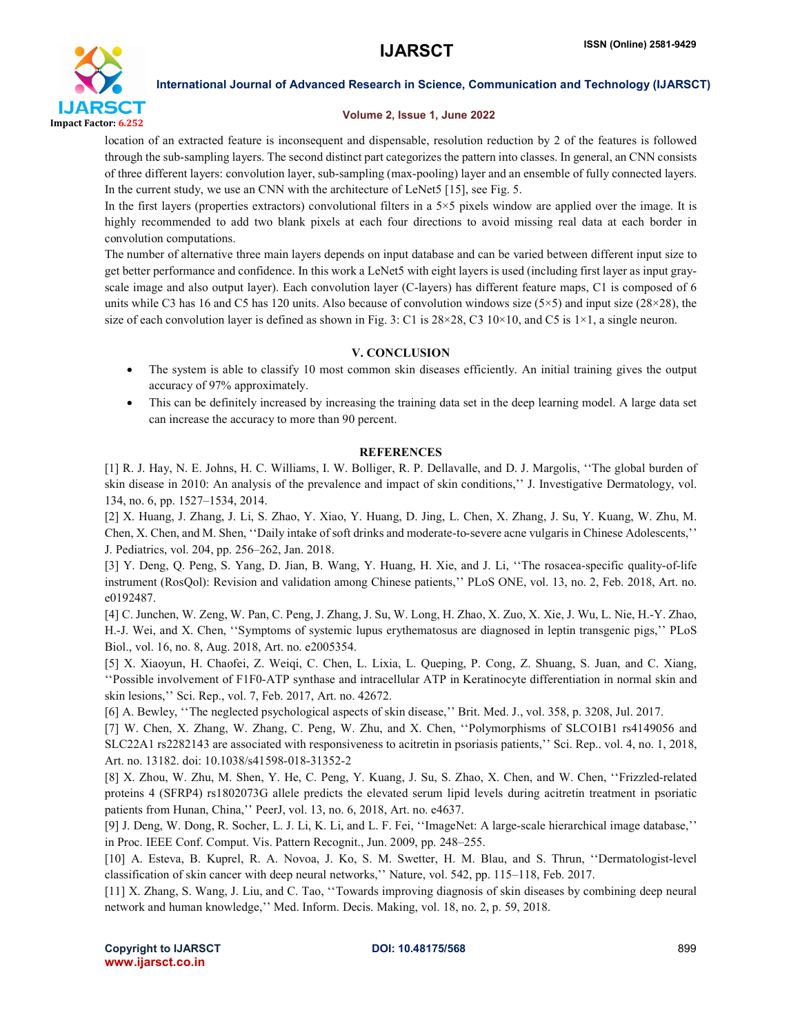

# Volume 2, Issue 1, June 2022

location of an extracted feature is inconsequent and dispensable, resolution reduction by 2 of the features is followed through the sub-sampling layers. The second distinct part categorizes the pattern into classes. In general, an CNN consists of three different layers: convolution layer, sub-sampling (max-pooling) layer and an ensemble of fully connected layers. In the current study, we use an CNN with the architecture of LeNet5 [15], see Fig. 5.

In the first layers (properties extractors) convolutional filters in a 5×5 pixels window are applied over the image. It is highly recommended to add two blank pixels at each four directions to avoid missing real data at each border in convolution computations.

The number of alternative three main layers depends on input database and can be varied between different input size to get better performance and confidence. In this work a LeNet5 with eight layers is used (including first layer as input grayscale image and also output layer). Each convolution layer (C-layers) has different feature maps, C1 is composed of 6 units while C3 has 16 and C5 has 120 units. Also because of convolution windows size  $(5\times5)$  and input size  $(28\times28)$ , the size of each convolution layer is defined as shown in Fig. 3: C1 is  $28 \times 28$ , C3  $10 \times 10$ , and C5 is  $1 \times 1$ , a single neuron.

# V. CONCLUSION

- The system is able to classify 10 most common skin diseases efficiently. An initial training gives the output accuracy of 97% approximately.
- This can be definitely increased by increasing the training data set in the deep learning model. A large data set can increase the accuracy to more than 90 percent.

# **REFERENCES**

[1] R. J. Hay, N. E. Johns, H. C. Williams, I. W. Bolliger, R. P. Dellavalle, and D. J. Margolis, ''The global burden of skin disease in 2010: An analysis of the prevalence and impact of skin conditions,'' J. Investigative Dermatology, vol. 134, no. 6, pp. 1527–1534, 2014.

[2] X. Huang, J. Zhang, J. Li, S. Zhao, Y. Xiao, Y. Huang, D. Jing, L. Chen, X. Zhang, J. Su, Y. Kuang, W. Zhu, M. Chen, X. Chen, and M. Shen, ''Daily intake of soft drinks and moderate-to-severe acne vulgaris in Chinese Adolescents,'' J. Pediatrics, vol. 204, pp. 256–262, Jan. 2018.

[3] Y. Deng, Q. Peng, S. Yang, D. Jian, B. Wang, Y. Huang, H. Xie, and J. Li, ''The rosacea-specific quality-of-life instrument (RosQol): Revision and validation among Chinese patients,'' PLoS ONE, vol. 13, no. 2, Feb. 2018, Art. no. e0192487.

[4] C. Junchen, W. Zeng, W. Pan, C. Peng, J. Zhang, J. Su, W. Long, H. Zhao, X. Zuo, X. Xie, J. Wu, L. Nie, H.-Y. Zhao, H.-J. Wei, and X. Chen, ''Symptoms of systemic lupus erythematosus are diagnosed in leptin transgenic pigs,'' PLoS Biol., vol. 16, no. 8, Aug. 2018, Art. no. e2005354.

[5] X. Xiaoyun, H. Chaofei, Z. Weiqi, C. Chen, L. Lixia, L. Queping, P. Cong, Z. Shuang, S. Juan, and C. Xiang, ''Possible involvement of F1F0-ATP synthase and intracellular ATP in Keratinocyte differentiation in normal skin and skin lesions,'' Sci. Rep., vol. 7, Feb. 2017, Art. no. 42672.

[6] A. Bewley, ''The neglected psychological aspects of skin disease,'' Brit. Med. J., vol. 358, p. 3208, Jul. 2017.

[7] W. Chen, X. Zhang, W. Zhang, C. Peng, W. Zhu, and X. Chen, ''Polymorphisms of SLCO1B1 rs4149056 and SLC22A1 rs2282143 are associated with responsiveness to acitretin in psoriasis patients,'' Sci. Rep.. vol. 4, no. 1, 2018, Art. no. 13182. doi: 10.1038/s41598-018-31352-2

[8] X. Zhou, W. Zhu, M. Shen, Y. He, C. Peng, Y. Kuang, J. Su, S. Zhao, X. Chen, and W. Chen, ''Frizzled-related proteins 4 (SFRP4) rs1802073G allele predicts the elevated serum lipid levels during acitretin treatment in psoriatic patients from Hunan, China,'' PeerJ, vol. 13, no. 6, 2018, Art. no. e4637.

[9] J. Deng, W. Dong, R. Socher, L. J. Li, K. Li, and L. F. Fei, ''ImageNet: A large-scale hierarchical image database,'' in Proc. IEEE Conf. Comput. Vis. Pattern Recognit., Jun. 2009, pp. 248–255.

[10] A. Esteva, B. Kuprel, R. A. Novoa, J. Ko, S. M. Swetter, H. M. Blau, and S. Thrun, ''Dermatologist-level classification of skin cancer with deep neural networks,'' Nature, vol. 542, pp. 115–118, Feb. 2017.

[11] X. Zhang, S. Wang, J. Liu, and C. Tao, ''Towards improving diagnosis of skin diseases by combining deep neural network and human knowledge,'' Med. Inform. Decis. Making, vol. 18, no. 2, p. 59, 2018.